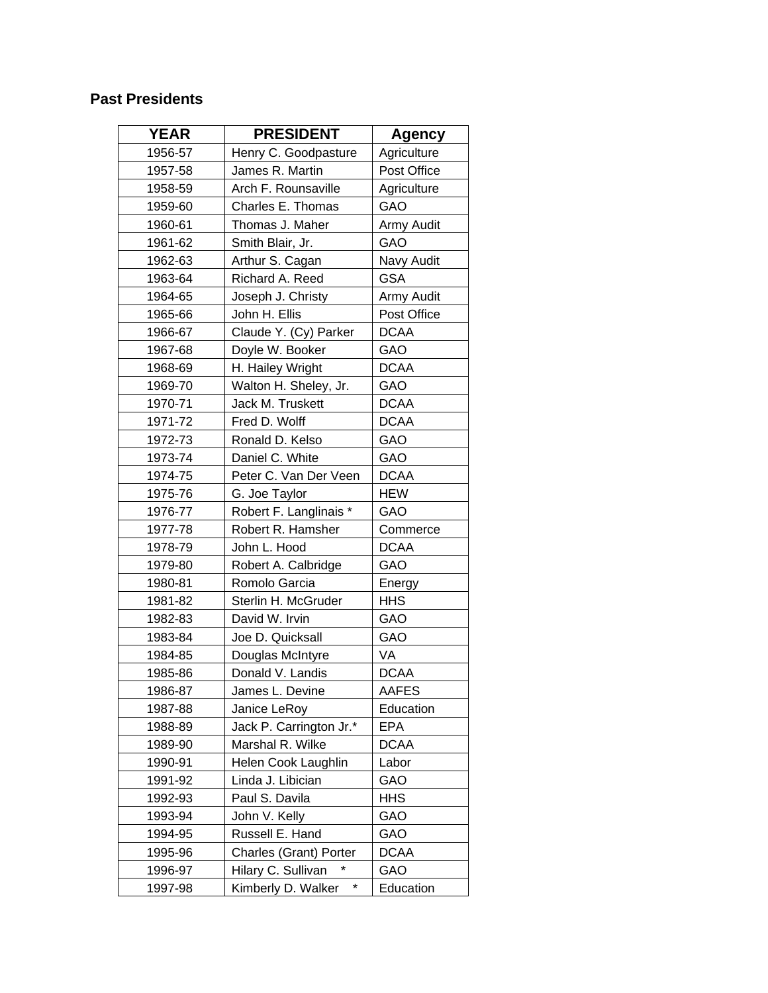## **Past Presidents**

| <b>YEAR</b> | <b>PRESIDENT</b>                 | <b>Agency</b> |
|-------------|----------------------------------|---------------|
| 1956-57     | Henry C. Goodpasture             | Agriculture   |
| 1957-58     | James R. Martin                  | Post Office   |
| 1958-59     | Arch F. Rounsaville              | Agriculture   |
| 1959-60     | Charles E. Thomas                | GAO           |
| 1960-61     | Thomas J. Maher                  | Army Audit    |
| 1961-62     | Smith Blair, Jr.                 | GAO           |
| 1962-63     | Arthur S. Cagan                  | Navy Audit    |
| 1963-64     | Richard A. Reed                  | <b>GSA</b>    |
| 1964-65     | Joseph J. Christy                | Army Audit    |
| 1965-66     | John H. Ellis                    | Post Office   |
| 1966-67     | Claude Y. (Cy) Parker            | <b>DCAA</b>   |
| 1967-68     | Doyle W. Booker                  | GAO           |
| 1968-69     | H. Hailey Wright                 | <b>DCAA</b>   |
| 1969-70     | Walton H. Sheley, Jr.            | GAO           |
| 1970-71     | Jack M. Truskett                 | <b>DCAA</b>   |
| 1971-72     | Fred D. Wolff                    | <b>DCAA</b>   |
| 1972-73     | Ronald D. Kelso                  | GAO           |
| 1973-74     | Daniel C. White                  | GAO           |
| 1974-75     | Peter C. Van Der Veen            | <b>DCAA</b>   |
| 1975-76     | G. Joe Taylor                    | <b>HEW</b>    |
| 1976-77     | Robert F. Langlinais *           | GAO           |
| 1977-78     | Robert R. Hamsher                | Commerce      |
| 1978-79     | John L. Hood                     | <b>DCAA</b>   |
| 1979-80     | Robert A. Calbridge              | GAO           |
| 1980-81     | Romolo Garcia                    | Energy        |
| 1981-82     | Sterlin H. McGruder              | <b>HHS</b>    |
| 1982-83     | David W. Irvin                   | GAO           |
| 1983-84     | Joe D. Quicksall                 | GAO           |
| 1984-85     | Douglas McIntyre                 | VA            |
| 1985-86     | Donald V. Landis                 | <b>DCAA</b>   |
| 1986-87     | James L. Devine                  | AAFES         |
| 1987-88     | Janice LeRoy                     | Education     |
| 1988-89     | Jack P. Carrington Jr.*          | <b>EPA</b>    |
| 1989-90     | Marshal R. Wilke                 | <b>DCAA</b>   |
| 1990-91     | Helen Cook Laughlin              | Labor         |
| 1991-92     | Linda J. Libician                | GAO           |
| 1992-93     | Paul S. Davila                   | <b>HHS</b>    |
| 1993-94     | John V. Kelly                    | GAO           |
| 1994-95     | Russell E. Hand                  | GAO           |
| 1995-96     | Charles (Grant) Porter           | <b>DCAA</b>   |
| 1996-97     | Hilary C. Sullivan               | GAO           |
| 1997-98     | $^{\star}$<br>Kimberly D. Walker | Education     |